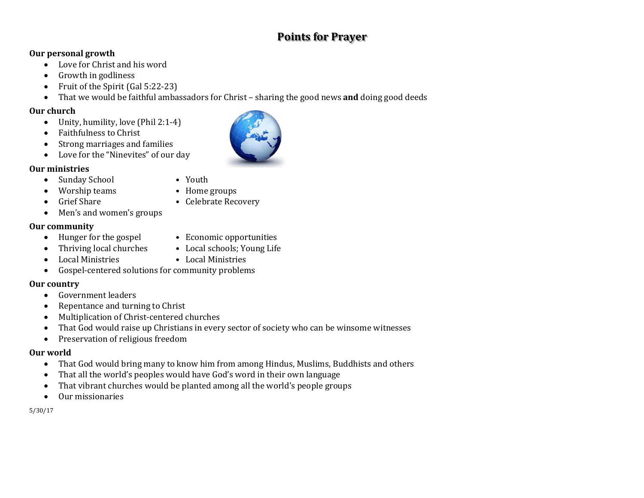# **Points for Prayer**

### **Our personal growth**

- Love for Christ and his word
- Growth in godliness
- Fruit of the Spirit (Gal 5:22-23)
- That we would be faithful ambassadors for Christ sharing the good news **and** doing good deeds

### **Our church**

- Unity, humility, love (Phil 2:1-4)
- Faithfulness to Christ
- Strong marriages and families
- Love for the "Ninevites" of our day

### **Our ministries**

- Sunday School Youth
- Worship teams Home groups
	-
- Grief Share Celebrate Recovery
- Men's and women's groups

### **Our community**

- Hunger for the gospel Economic opportunities
- Thriving local churches Local schools; Young Life
- Local Ministries Local Ministries
- Gospel-centered solutions for community problems

## **Our country**

- Government leaders
- Repentance and turning to Christ
- Multiplication of Christ-centered churches
- That God would raise up Christians in every sector of society who can be winsome witnesses
- Preservation of religious freedom

#### **Our world**

- That God would bring many to know him from among Hindus, Muslims, Buddhists and others
- That all the world's peoples would have God's word in their own language
- That vibrant churches would be planted among all the world's people groups
- Our missionaries

5/30/17